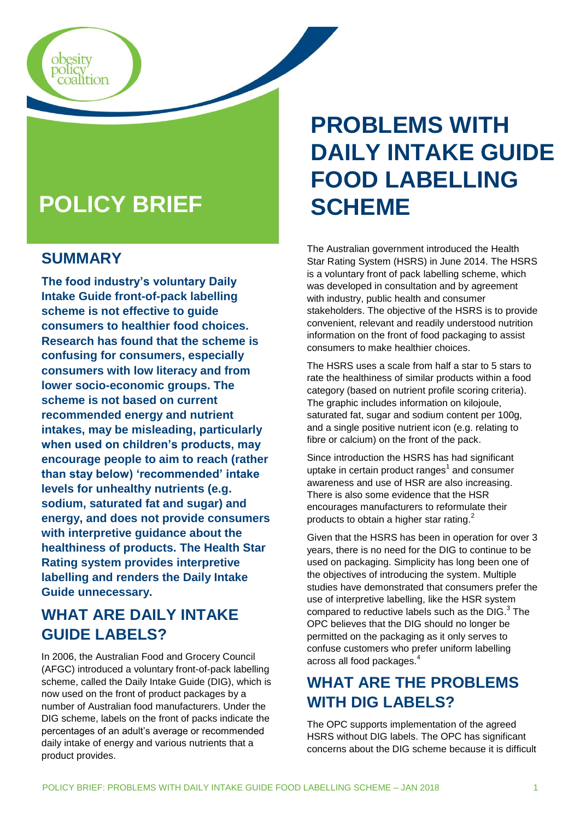

### **SUMMARY**

obesity<br>policy<br>coalition

**The food industry's voluntary Daily Intake Guide front-of-pack labelling scheme is not effective to guide consumers to healthier food choices. Research has found that the scheme is confusing for consumers, especially consumers with low literacy and from lower socio-economic groups. The scheme is not based on current recommended energy and nutrient intakes, may be misleading, particularly when used on children's products, may encourage people to aim to reach (rather than stay below) 'recommended' intake levels for unhealthy nutrients (e.g. sodium, saturated fat and sugar) and energy, and does not provide consumers with interpretive guidance about the healthiness of products. The Health Star Rating system provides interpretive labelling and renders the Daily Intake Guide unnecessary.**

# **WHAT ARE DAILY INTAKE GUIDE LABELS?**

In 2006, the Australian Food and Grocery Council (AFGC) introduced a voluntary front-of-pack labelling scheme, called the Daily Intake Guide (DIG), which is now used on the front of product packages by a number of Australian food manufacturers. Under the DIG scheme, labels on the front of packs indicate the percentages of an adult's average or recommended daily intake of energy and various nutrients that a product provides.

# **PROBLEMS WITH DAILY INTAKE GUIDE FOOD LABELLING SCHEME**

The Australian government introduced the Health Star Rating System (HSRS) in June 2014. The HSRS is a voluntary front of pack labelling scheme, which was developed in consultation and by agreement with industry, public health and consumer stakeholders. The objective of the HSRS is to provide convenient, relevant and readily understood nutrition information on the front of food packaging to assist consumers to make healthier choices.

The HSRS uses a scale from half a star to 5 stars to rate the healthiness of similar products within a food category (based on nutrient profile scoring criteria). The graphic includes information on kilojoule, saturated fat, sugar and sodium content per 100g, and a single positive nutrient icon (e.g. relating to fibre or calcium) on the front of the pack.

Since introduction the HSRS has had significant uptake in certain product ranges $^1$  and consumer awareness and use of HSR are also increasing. There is also some evidence that the HSR encourages manufacturers to reformulate their products to obtain a higher star rating.<sup>2</sup>

Given that the HSRS has been in operation for over 3 years, there is no need for the DIG to continue to be used on packaging. Simplicity has long been one of the objectives of introducing the system. Multiple studies have demonstrated that consumers prefer the use of interpretive labelling, like the HSR system compared to reductive labels such as the DIG. $^3$  The OPC believes that the DIG should no longer be permitted on the packaging as it only serves to confuse customers who prefer uniform labelling across all food packages.<sup>4</sup>

# **WHAT ARE THE PROBLEMS WITH DIG LABELS?**

The OPC supports implementation of the agreed HSRS without DIG labels. The OPC has significant concerns about the DIG scheme because it is difficult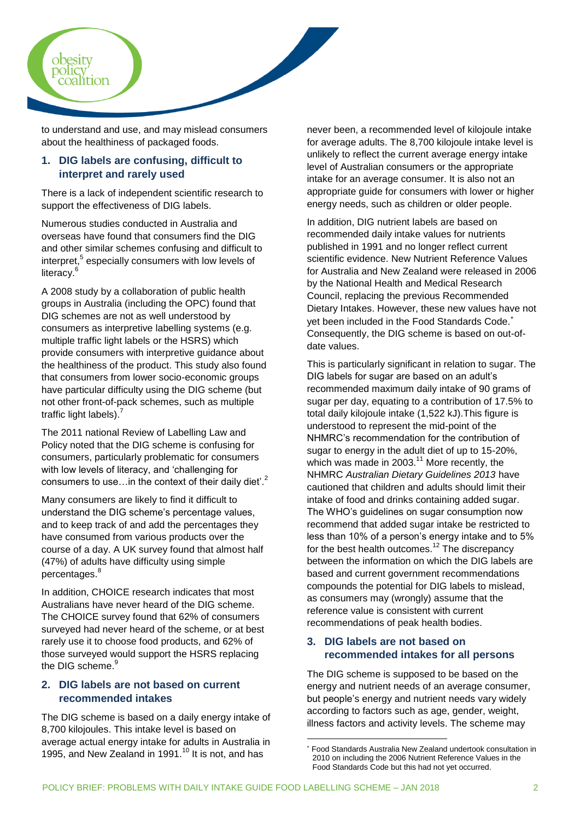

to understand and use, and may mislead consumers about the healthiness of packaged foods.

#### **1. DIG labels are confusing, difficult to interpret and rarely used**

There is a lack of independent scientific research to support the effectiveness of DIG labels.

Numerous studies conducted in Australia and overseas have found that consumers find the DIG and other similar schemes confusing and difficult to interpret,<sup>5</sup> especially consumers with low levels of literacy.<sup>6</sup>

A 2008 study by a collaboration of public health groups in Australia (including the OPC) found that DIG schemes are not as well understood by consumers as interpretive labelling systems (e.g. multiple traffic light labels or the HSRS) which provide consumers with interpretive guidance about the healthiness of the product. This study also found that consumers from lower socio-economic groups have particular difficulty using the DIG scheme (but not other front-of-pack schemes, such as multiple traffic light labels). $<sup>7</sup>$ </sup>

The 2011 national Review of Labelling Law and Policy noted that the DIG scheme is confusing for consumers, particularly problematic for consumers with low levels of literacy, and 'challenging for consumers to use... in the context of their daily diet<sup>2</sup>.<sup>2</sup>

Many consumers are likely to find it difficult to understand the DIG scheme's percentage values, and to keep track of and add the percentages they have consumed from various products over the course of a day. A UK survey found that almost half (47%) of adults have difficulty using simple percentages.<sup>8</sup>

In addition, CHOICE research indicates that most Australians have never heard of the DIG scheme. The CHOICE survey found that 62% of consumers surveyed had never heard of the scheme, or at best rarely use it to choose food products, and 62% of those surveyed would support the HSRS replacing the DIG scheme.<sup>9</sup>

#### **2. DIG labels are not based on current recommended intakes**

The DIG scheme is based on a daily energy intake of 8,700 kilojoules. This intake level is based on average actual energy intake for adults in Australia in 1995, and New Zealand in 1991.<sup>10</sup> It is not, and has

never been, a recommended level of kilojoule intake for average adults. The 8,700 kilojoule intake level is unlikely to reflect the current average energy intake level of Australian consumers or the appropriate intake for an average consumer. It is also not an appropriate guide for consumers with lower or higher energy needs, such as children or older people.

In addition, DIG nutrient labels are based on recommended daily intake values for nutrients published in 1991 and no longer reflect current scientific evidence. New Nutrient Reference Values for Australia and New Zealand were released in 2006 by the National Health and Medical Research Council, replacing the previous Recommended Dietary Intakes. However, these new values have not yet been included in the Food Standards Code. Consequently, the DIG scheme is based on out-ofdate values.

This is particularly significant in relation to sugar. The DIG labels for sugar are based on an adult's recommended maximum daily intake of 90 grams of sugar per day, equating to a contribution of 17.5% to total daily kilojoule intake (1,522 kJ).This figure is understood to represent the mid-point of the NHMRC's recommendation for the contribution of sugar to energy in the adult diet of up to 15-20%, which was made in 2003. $11$  More recently, the NHMRC *Australian Dietary Guidelines 2013* have cautioned that children and adults should limit their intake of food and drinks containing added sugar. The WHO's guidelines on sugar consumption now recommend that added sugar intake be restricted to less than 10% of a person's energy intake and to 5% for the best health outcomes.<sup>12</sup> The discrepancy between the information on which the DIG labels are based and current government recommendations compounds the potential for DIG labels to mislead, as consumers may (wrongly) assume that the reference value is consistent with current recommendations of peak health bodies.

#### **3. DIG labels are not based on recommended intakes for all persons**

The DIG scheme is supposed to be based on the energy and nutrient needs of an average consumer, but people's energy and nutrient needs vary widely according to factors such as age, gender, weight, illness factors and activity levels. The scheme may

 $\overline{a}$ 

Food Standards Australia New Zealand undertook consultation in 2010 on including the 2006 Nutrient Reference Values in the Food Standards Code but this had not yet occurred.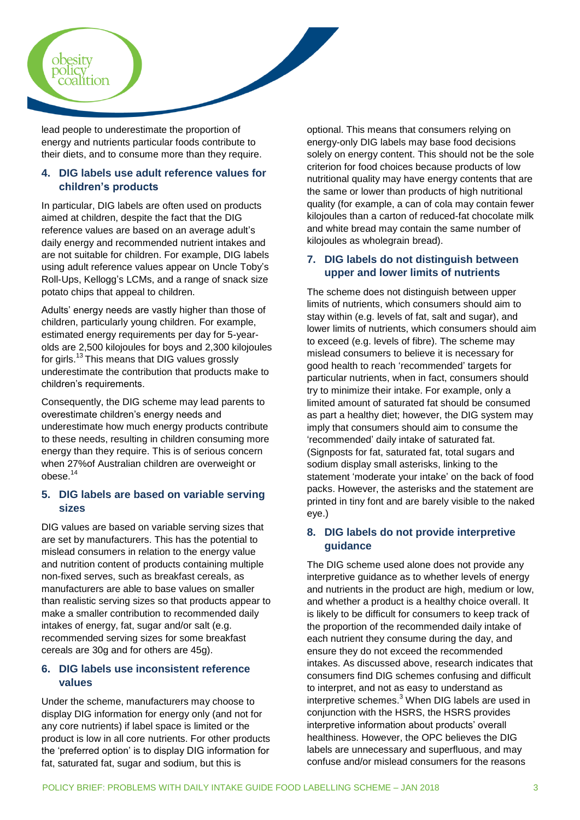

lead people to underestimate the proportion of energy and nutrients particular foods contribute to their diets, and to consume more than they require.

#### **4. DIG labels use adult reference values for children's products**

In particular, DIG labels are often used on products aimed at children, despite the fact that the DIG reference values are based on an average adult's daily energy and recommended nutrient intakes and are not suitable for children. For example, DIG labels using adult reference values appear on Uncle Toby's Roll-Ups, Kellogg's LCMs, and a range of snack size potato chips that appeal to children.

Adults' energy needs are vastly higher than those of children, particularly young children. For example, estimated energy requirements per day for 5-yearolds are 2,500 kilojoules for boys and 2,300 kilojoules for girls.<sup>13</sup>This means that DIG values grossly underestimate the contribution that products make to children's requirements.

Consequently, the DIG scheme may lead parents to overestimate children's energy needs and underestimate how much energy products contribute to these needs, resulting in children consuming more energy than they require. This is of serious concern when 27%of Australian children are overweight or obese.<sup>14</sup>

#### **5. DIG labels are based on variable serving sizes**

DIG values are based on variable serving sizes that are set by manufacturers. This has the potential to mislead consumers in relation to the energy value and nutrition content of products containing multiple non-fixed serves, such as breakfast cereals, as manufacturers are able to base values on smaller than realistic serving sizes so that products appear to make a smaller contribution to recommended daily intakes of energy, fat, sugar and/or salt (e.g. recommended serving sizes for some breakfast cereals are 30g and for others are 45g).

#### **6. DIG labels use inconsistent reference values**

Under the scheme, manufacturers may choose to display DIG information for energy only (and not for any core nutrients) if label space is limited or the product is low in all core nutrients. For other products the 'preferred option' is to display DIG information for fat, saturated fat, sugar and sodium, but this is

optional. This means that consumers relying on energy-only DIG labels may base food decisions solely on energy content. This should not be the sole criterion for food choices because products of low nutritional quality may have energy contents that are the same or lower than products of high nutritional quality (for example, a can of cola may contain fewer kilojoules than a carton of reduced-fat chocolate milk and white bread may contain the same number of kilojoules as wholegrain bread).

#### **7. DIG labels do not distinguish between upper and lower limits of nutrients**

The scheme does not distinguish between upper limits of nutrients, which consumers should aim to stay within (e.g. levels of fat, salt and sugar), and lower limits of nutrients, which consumers should aim to exceed (e.g. levels of fibre). The scheme may mislead consumers to believe it is necessary for good health to reach 'recommended' targets for particular nutrients, when in fact, consumers should try to minimize their intake. For example, only a limited amount of saturated fat should be consumed as part a healthy diet; however, the DIG system may imply that consumers should aim to consume the 'recommended' daily intake of saturated fat. (Signposts for fat, saturated fat, total sugars and sodium display small asterisks, linking to the statement 'moderate your intake' on the back of food packs. However, the asterisks and the statement are printed in tiny font and are barely visible to the naked eye.)

#### **8. DIG labels do not provide interpretive guidance**

The DIG scheme used alone does not provide any interpretive guidance as to whether levels of energy and nutrients in the product are high, medium or low, and whether a product is a healthy choice overall. It is likely to be difficult for consumers to keep track of the proportion of the recommended daily intake of each nutrient they consume during the day, and ensure they do not exceed the recommended intakes. As discussed above, research indicates that consumers find DIG schemes confusing and difficult to interpret, and not as easy to understand as interpretive schemes.<sup>3</sup> When DIG labels are used in conjunction with the HSRS, the HSRS provides interpretive information about products' overall healthiness. However, the OPC believes the DIG labels are unnecessary and superfluous, and may confuse and/or mislead consumers for the reasons